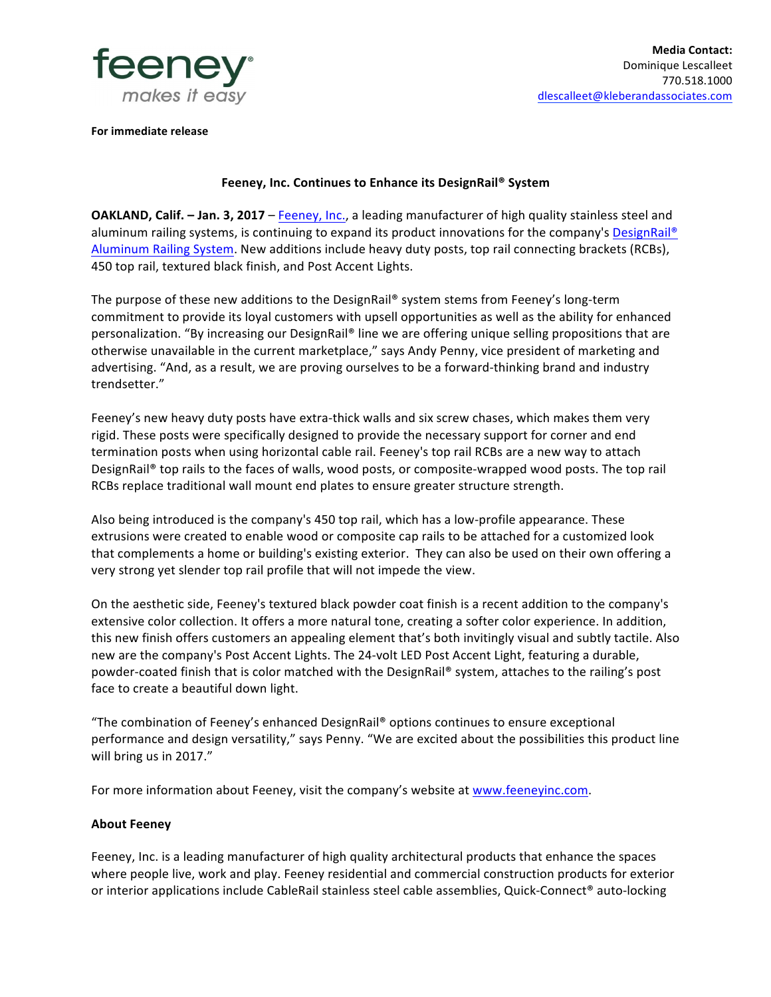

**For immediate release** 

## **Feeney, Inc. Continues to Enhance its DesignRail® System**

**OAKLAND, Calif.** – Jan. 3, 2017 – Feeney, Inc., a leading manufacturer of high quality stainless steel and aluminum railing systems, is continuing to expand its product innovations for the company's DesignRail® Aluminum Railing System. New additions include heavy duty posts, top rail connecting brackets (RCBs), 450 top rail, textured black finish, and Post Accent Lights.

The purpose of these new additions to the DesignRail® system stems from Feeney's long-term commitment to provide its loyal customers with upsell opportunities as well as the ability for enhanced personalization. "By increasing our DesignRail® line we are offering unique selling propositions that are otherwise unavailable in the current marketplace," says Andy Penny, vice president of marketing and advertising. "And, as a result, we are proving ourselves to be a forward-thinking brand and industry trendsetter."

Feeney's new heavy duty posts have extra-thick walls and six screw chases, which makes them very rigid. These posts were specifically designed to provide the necessary support for corner and end termination posts when using horizontal cable rail. Feeney's top rail RCBs are a new way to attach DesignRail® top rails to the faces of walls, wood posts, or composite-wrapped wood posts. The top rail RCBs replace traditional wall mount end plates to ensure greater structure strength.

Also being introduced is the company's 450 top rail, which has a low-profile appearance. These extrusions were created to enable wood or composite cap rails to be attached for a customized look that complements a home or building's existing exterior. They can also be used on their own offering a very strong yet slender top rail profile that will not impede the view.

On the aesthetic side, Feeney's textured black powder coat finish is a recent addition to the company's extensive color collection. It offers a more natural tone, creating a softer color experience. In addition, this new finish offers customers an appealing element that's both invitingly visual and subtly tactile. Also new are the company's Post Accent Lights. The 24-volt LED Post Accent Light, featuring a durable, powder-coated finish that is color matched with the DesignRail® system, attaches to the railing's post face to create a beautiful down light.

"The combination of Feeney's enhanced DesignRail® options continues to ensure exceptional performance and design versatility," says Penny. "We are excited about the possibilities this product line will bring us in 2017."

For more information about Feeney, visit the company's website at www.feeneyinc.com.

## **About Feeney**

Feeney, Inc. is a leading manufacturer of high quality architectural products that enhance the spaces where people live, work and play. Feeney residential and commercial construction products for exterior or interior applications include CableRail stainless steel cable assemblies, Quick-Connect® auto-locking